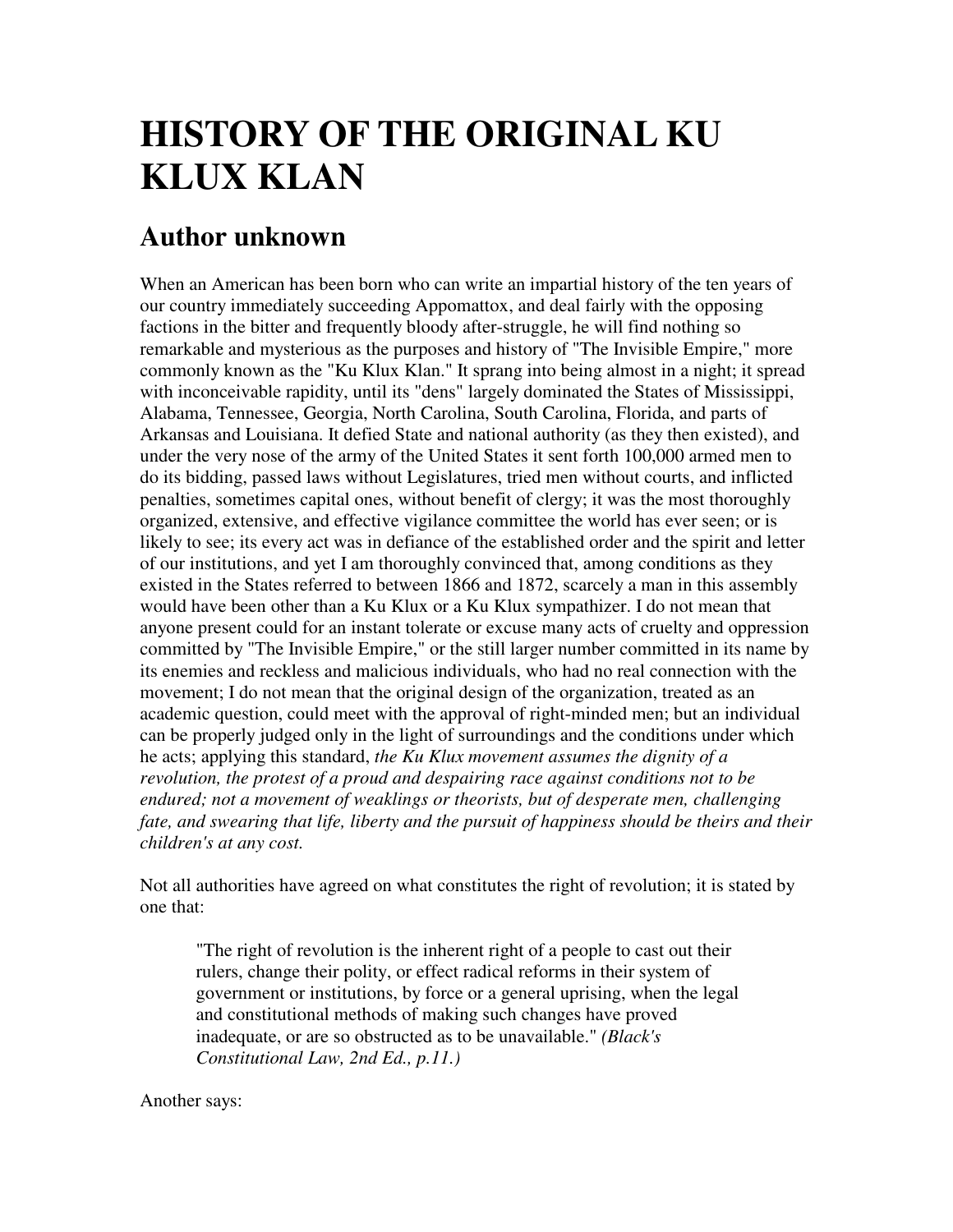# **HISTORY OF THE ORIGINAL KU KLUX KLAN**

## **Author unknown**

When an American has been born who can write an impartial history of the ten years of our country immediately succeeding Appomattox, and deal fairly with the opposing factions in the bitter and frequently bloody after-struggle, he will find nothing so remarkable and mysterious as the purposes and history of "The Invisible Empire," more commonly known as the "Ku Klux Klan." It sprang into being almost in a night; it spread with inconceivable rapidity, until its "dens" largely dominated the States of Mississippi, Alabama, Tennessee, Georgia, North Carolina, South Carolina, Florida, and parts of Arkansas and Louisiana. It defied State and national authority (as they then existed), and under the very nose of the army of the United States it sent forth 100,000 armed men to do its bidding, passed laws without Legislatures, tried men without courts, and inflicted penalties, sometimes capital ones, without benefit of clergy; it was the most thoroughly organized, extensive, and effective vigilance committee the world has ever seen; or is likely to see; its every act was in defiance of the established order and the spirit and letter of our institutions, and yet I am thoroughly convinced that, among conditions as they existed in the States referred to between 1866 and 1872, scarcely a man in this assembly would have been other than a Ku Klux or a Ku Klux sympathizer. I do not mean that anyone present could for an instant tolerate or excuse many acts of cruelty and oppression committed by "The Invisible Empire," or the still larger number committed in its name by its enemies and reckless and malicious individuals, who had no real connection with the movement; I do not mean that the original design of the organization, treated as an academic question, could meet with the approval of right-minded men; but an individual can be properly judged only in the light of surroundings and the conditions under which he acts; applying this standard, *the Ku Klux movement assumes the dignity of a revolution, the protest of a proud and despairing race against conditions not to be endured; not a movement of weaklings or theorists, but of desperate men, challenging fate, and swearing that life, liberty and the pursuit of happiness should be theirs and their children's at any cost.*

Not all authorities have agreed on what constitutes the right of revolution; it is stated by one that:

"The right of revolution is the inherent right of a people to cast out their rulers, change their polity, or effect radical reforms in their system of government or institutions, by force or a general uprising, when the legal and constitutional methods of making such changes have proved inadequate, or are so obstructed as to be unavailable." *(Black's Constitutional Law, 2nd Ed., p.11.)*

Another says: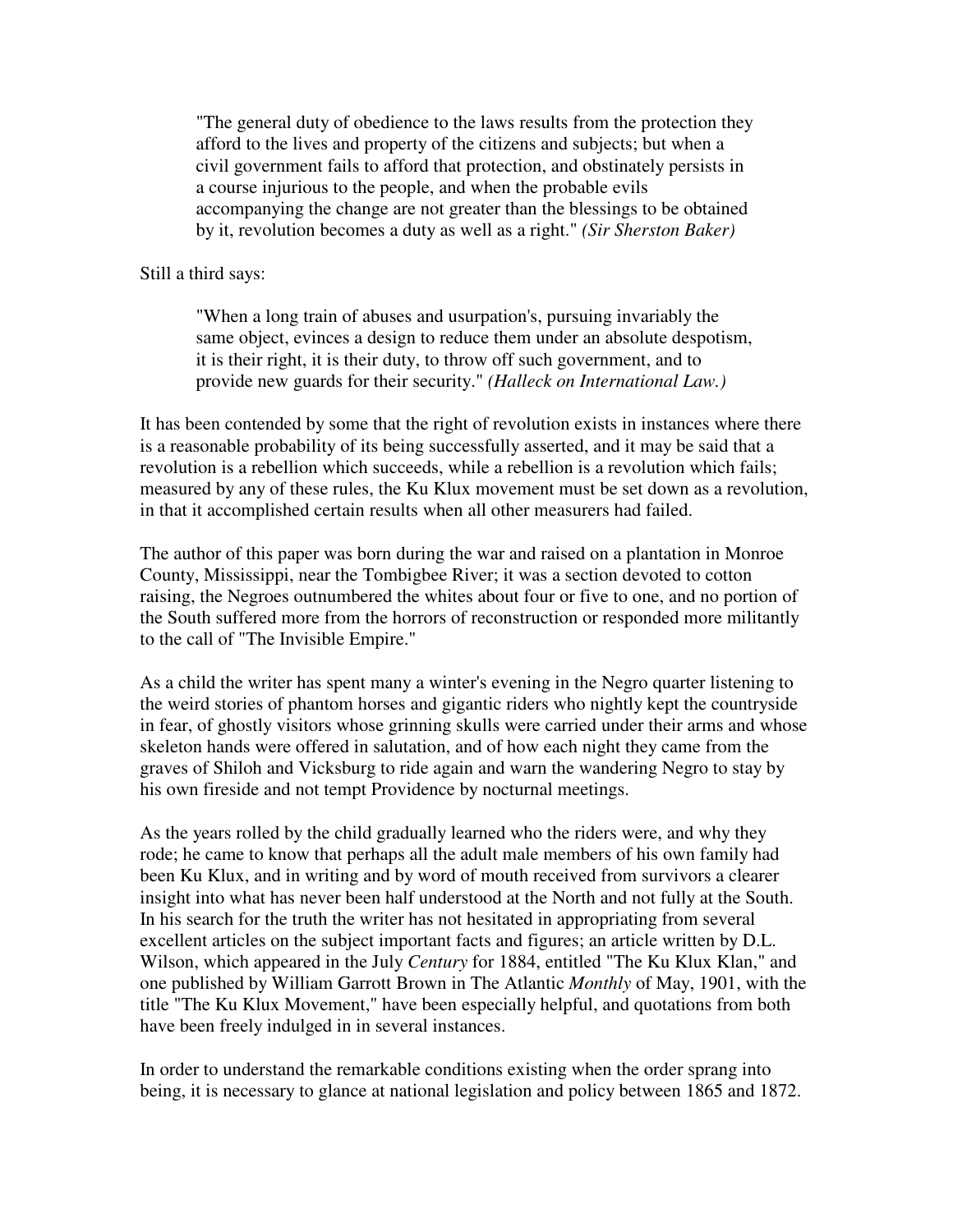"The general duty of obedience to the laws results from the protection they afford to the lives and property of the citizens and subjects; but when a civil government fails to afford that protection, and obstinately persists in a course injurious to the people, and when the probable evils accompanying the change are not greater than the blessings to be obtained by it, revolution becomes a duty as well as a right." *(Sir Sherston Baker)*

Still a third says:

"When a long train of abuses and usurpation's, pursuing invariably the same object, evinces a design to reduce them under an absolute despotism, it is their right, it is their duty, to throw off such government, and to provide new guards for their security." *(Halleck on International Law.)*

It has been contended by some that the right of revolution exists in instances where there is a reasonable probability of its being successfully asserted, and it may be said that a revolution is a rebellion which succeeds, while a rebellion is a revolution which fails; measured by any of these rules, the Ku Klux movement must be set down as a revolution, in that it accomplished certain results when all other measurers had failed.

The author of this paper was born during the war and raised on a plantation in Monroe County, Mississippi, near the Tombigbee River; it was a section devoted to cotton raising, the Negroes outnumbered the whites about four or five to one, and no portion of the South suffered more from the horrors of reconstruction or responded more militantly to the call of "The Invisible Empire."

As a child the writer has spent many a winter's evening in the Negro quarter listening to the weird stories of phantom horses and gigantic riders who nightly kept the countryside in fear, of ghostly visitors whose grinning skulls were carried under their arms and whose skeleton hands were offered in salutation, and of how each night they came from the graves of Shiloh and Vicksburg to ride again and warn the wandering Negro to stay by his own fireside and not tempt Providence by nocturnal meetings.

As the years rolled by the child gradually learned who the riders were, and why they rode; he came to know that perhaps all the adult male members of his own family had been Ku Klux, and in writing and by word of mouth received from survivors a clearer insight into what has never been half understood at the North and not fully at the South. In his search for the truth the writer has not hesitated in appropriating from several excellent articles on the subject important facts and figures; an article written by D.L. Wilson, which appeared in the July *Century* for 1884, entitled "The Ku Klux Klan," and one published by William Garrott Brown in The Atlantic *Monthly* of May, 1901, with the title "The Ku Klux Movement," have been especially helpful, and quotations from both have been freely indulged in in several instances.

In order to understand the remarkable conditions existing when the order sprang into being, it is necessary to glance at national legislation and policy between 1865 and 1872.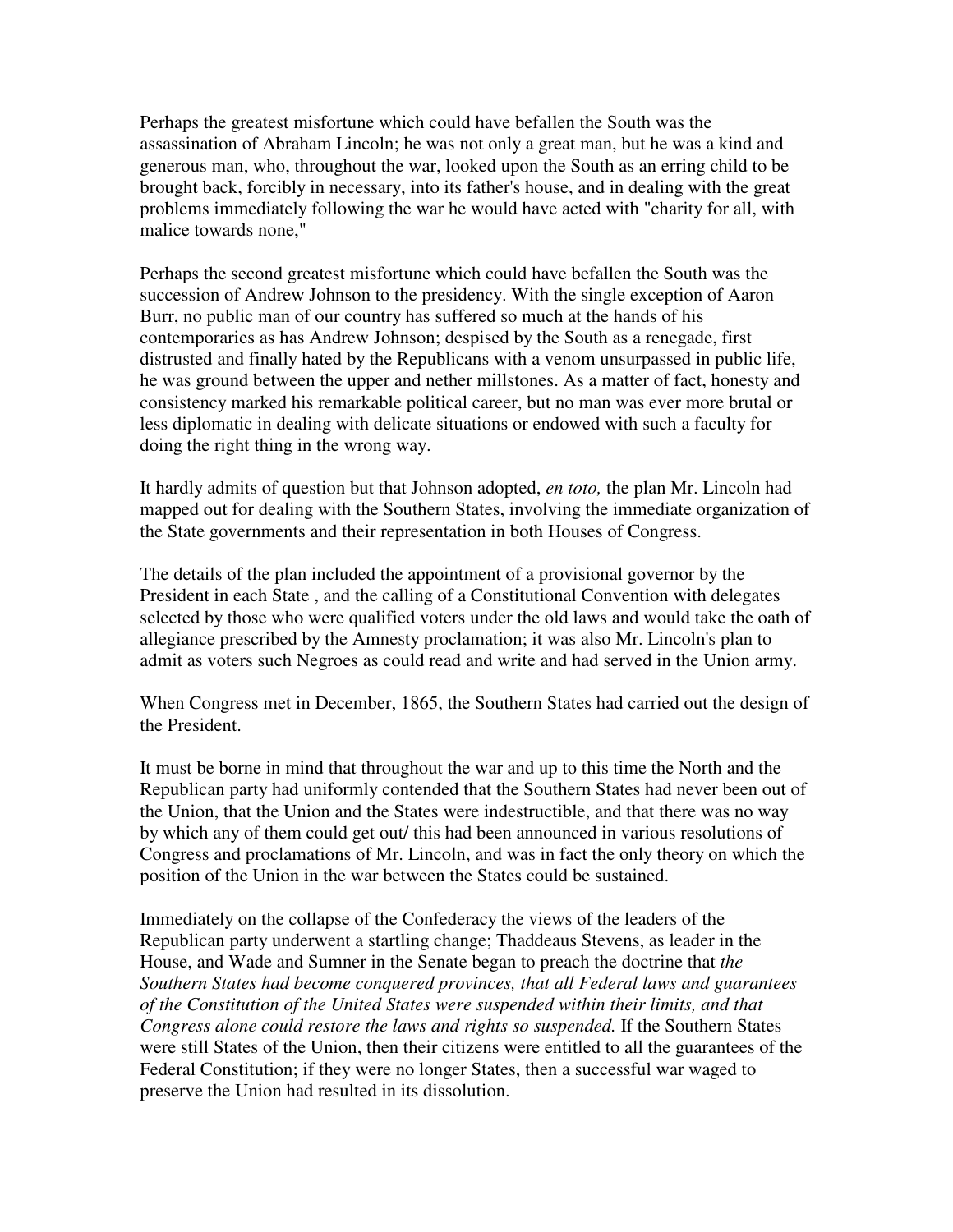Perhaps the greatest misfortune which could have befallen the South was the assassination of Abraham Lincoln; he was not only a great man, but he was a kind and generous man, who, throughout the war, looked upon the South as an erring child to be brought back, forcibly in necessary, into its father's house, and in dealing with the great problems immediately following the war he would have acted with "charity for all, with malice towards none,"

Perhaps the second greatest misfortune which could have befallen the South was the succession of Andrew Johnson to the presidency. With the single exception of Aaron Burr, no public man of our country has suffered so much at the hands of his contemporaries as has Andrew Johnson; despised by the South as a renegade, first distrusted and finally hated by the Republicans with a venom unsurpassed in public life, he was ground between the upper and nether millstones. As a matter of fact, honesty and consistency marked his remarkable political career, but no man was ever more brutal or less diplomatic in dealing with delicate situations or endowed with such a faculty for doing the right thing in the wrong way.

It hardly admits of question but that Johnson adopted, *en toto,* the plan Mr. Lincoln had mapped out for dealing with the Southern States, involving the immediate organization of the State governments and their representation in both Houses of Congress.

The details of the plan included the appointment of a provisional governor by the President in each State , and the calling of a Constitutional Convention with delegates selected by those who were qualified voters under the old laws and would take the oath of allegiance prescribed by the Amnesty proclamation; it was also Mr. Lincoln's plan to admit as voters such Negroes as could read and write and had served in the Union army.

When Congress met in December, 1865, the Southern States had carried out the design of the President.

It must be borne in mind that throughout the war and up to this time the North and the Republican party had uniformly contended that the Southern States had never been out of the Union, that the Union and the States were indestructible, and that there was no way by which any of them could get out/ this had been announced in various resolutions of Congress and proclamations of Mr. Lincoln, and was in fact the only theory on which the position of the Union in the war between the States could be sustained.

Immediately on the collapse of the Confederacy the views of the leaders of the Republican party underwent a startling change; Thaddeaus Stevens, as leader in the House, and Wade and Sumner in the Senate began to preach the doctrine that *the Southern States had become conquered provinces, that all Federal laws and guarantees of the Constitution of the United States were suspended within their limits, and that Congress alone could restore the laws and rights so suspended.* If the Southern States were still States of the Union, then their citizens were entitled to all the guarantees of the Federal Constitution; if they were no longer States, then a successful war waged to preserve the Union had resulted in its dissolution.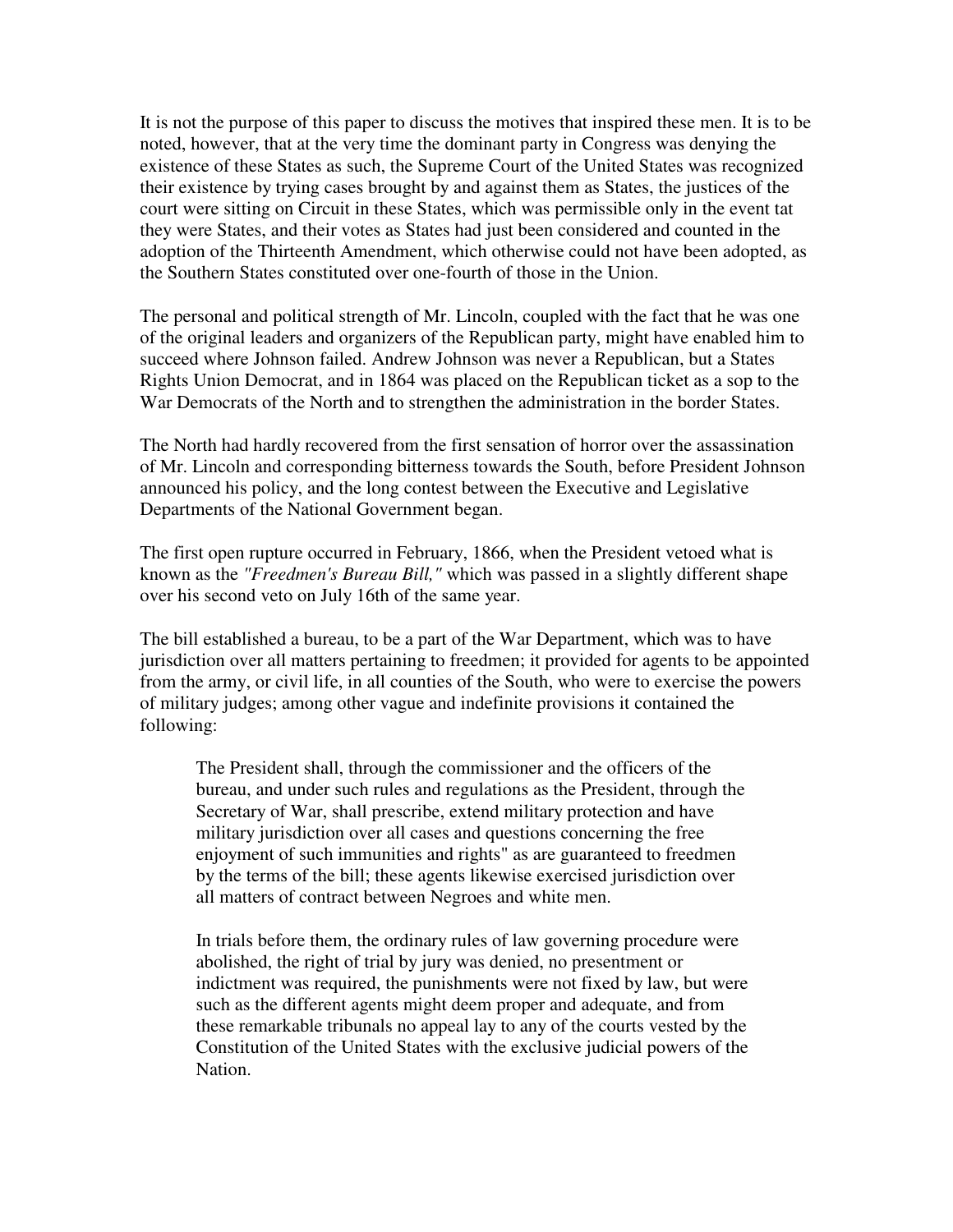It is not the purpose of this paper to discuss the motives that inspired these men. It is to be noted, however, that at the very time the dominant party in Congress was denying the existence of these States as such, the Supreme Court of the United States was recognized their existence by trying cases brought by and against them as States, the justices of the court were sitting on Circuit in these States, which was permissible only in the event tat they were States, and their votes as States had just been considered and counted in the adoption of the Thirteenth Amendment, which otherwise could not have been adopted, as the Southern States constituted over one-fourth of those in the Union.

The personal and political strength of Mr. Lincoln, coupled with the fact that he was one of the original leaders and organizers of the Republican party, might have enabled him to succeed where Johnson failed. Andrew Johnson was never a Republican, but a States Rights Union Democrat, and in 1864 was placed on the Republican ticket as a sop to the War Democrats of the North and to strengthen the administration in the border States.

The North had hardly recovered from the first sensation of horror over the assassination of Mr. Lincoln and corresponding bitterness towards the South, before President Johnson announced his policy, and the long contest between the Executive and Legislative Departments of the National Government began.

The first open rupture occurred in February, 1866, when the President vetoed what is known as the *"Freedmen's Bureau Bill,"* which was passed in a slightly different shape over his second veto on July 16th of the same year.

The bill established a bureau, to be a part of the War Department, which was to have jurisdiction over all matters pertaining to freedmen; it provided for agents to be appointed from the army, or civil life, in all counties of the South, who were to exercise the powers of military judges; among other vague and indefinite provisions it contained the following:

The President shall, through the commissioner and the officers of the bureau, and under such rules and regulations as the President, through the Secretary of War, shall prescribe, extend military protection and have military jurisdiction over all cases and questions concerning the free enjoyment of such immunities and rights" as are guaranteed to freedmen by the terms of the bill; these agents likewise exercised jurisdiction over all matters of contract between Negroes and white men.

In trials before them, the ordinary rules of law governing procedure were abolished, the right of trial by jury was denied, no presentment or indictment was required, the punishments were not fixed by law, but were such as the different agents might deem proper and adequate, and from these remarkable tribunals no appeal lay to any of the courts vested by the Constitution of the United States with the exclusive judicial powers of the Nation.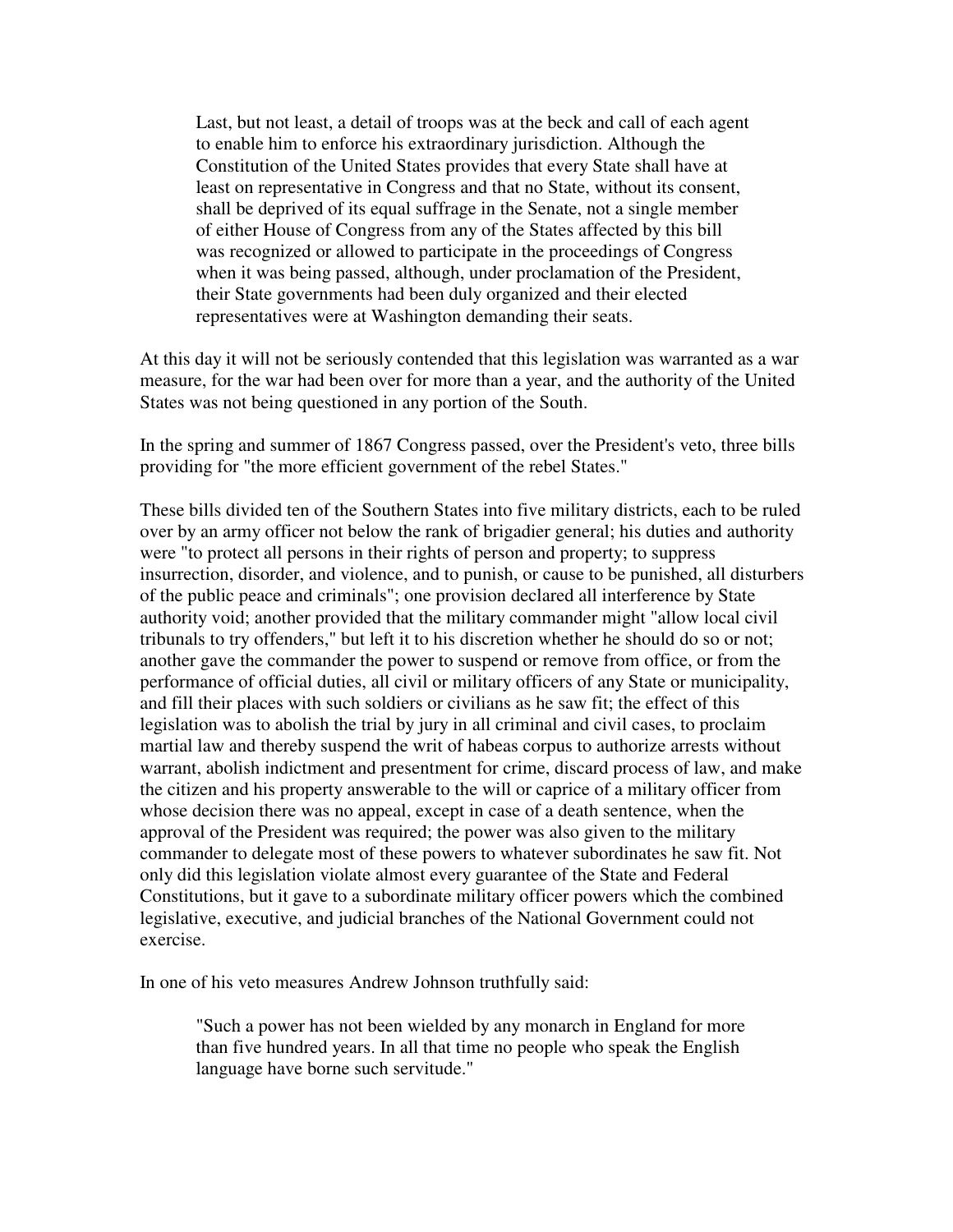Last, but not least, a detail of troops was at the beck and call of each agent to enable him to enforce his extraordinary jurisdiction. Although the Constitution of the United States provides that every State shall have at least on representative in Congress and that no State, without its consent, shall be deprived of its equal suffrage in the Senate, not a single member of either House of Congress from any of the States affected by this bill was recognized or allowed to participate in the proceedings of Congress when it was being passed, although, under proclamation of the President, their State governments had been duly organized and their elected representatives were at Washington demanding their seats.

At this day it will not be seriously contended that this legislation was warranted as a war measure, for the war had been over for more than a year, and the authority of the United States was not being questioned in any portion of the South.

In the spring and summer of 1867 Congress passed, over the President's veto, three bills providing for "the more efficient government of the rebel States."

These bills divided ten of the Southern States into five military districts, each to be ruled over by an army officer not below the rank of brigadier general; his duties and authority were "to protect all persons in their rights of person and property; to suppress insurrection, disorder, and violence, and to punish, or cause to be punished, all disturbers of the public peace and criminals"; one provision declared all interference by State authority void; another provided that the military commander might "allow local civil tribunals to try offenders," but left it to his discretion whether he should do so or not; another gave the commander the power to suspend or remove from office, or from the performance of official duties, all civil or military officers of any State or municipality, and fill their places with such soldiers or civilians as he saw fit; the effect of this legislation was to abolish the trial by jury in all criminal and civil cases, to proclaim martial law and thereby suspend the writ of habeas corpus to authorize arrests without warrant, abolish indictment and presentment for crime, discard process of law, and make the citizen and his property answerable to the will or caprice of a military officer from whose decision there was no appeal, except in case of a death sentence, when the approval of the President was required; the power was also given to the military commander to delegate most of these powers to whatever subordinates he saw fit. Not only did this legislation violate almost every guarantee of the State and Federal Constitutions, but it gave to a subordinate military officer powers which the combined legislative, executive, and judicial branches of the National Government could not exercise.

In one of his veto measures Andrew Johnson truthfully said:

"Such a power has not been wielded by any monarch in England for more than five hundred years. In all that time no people who speak the English language have borne such servitude."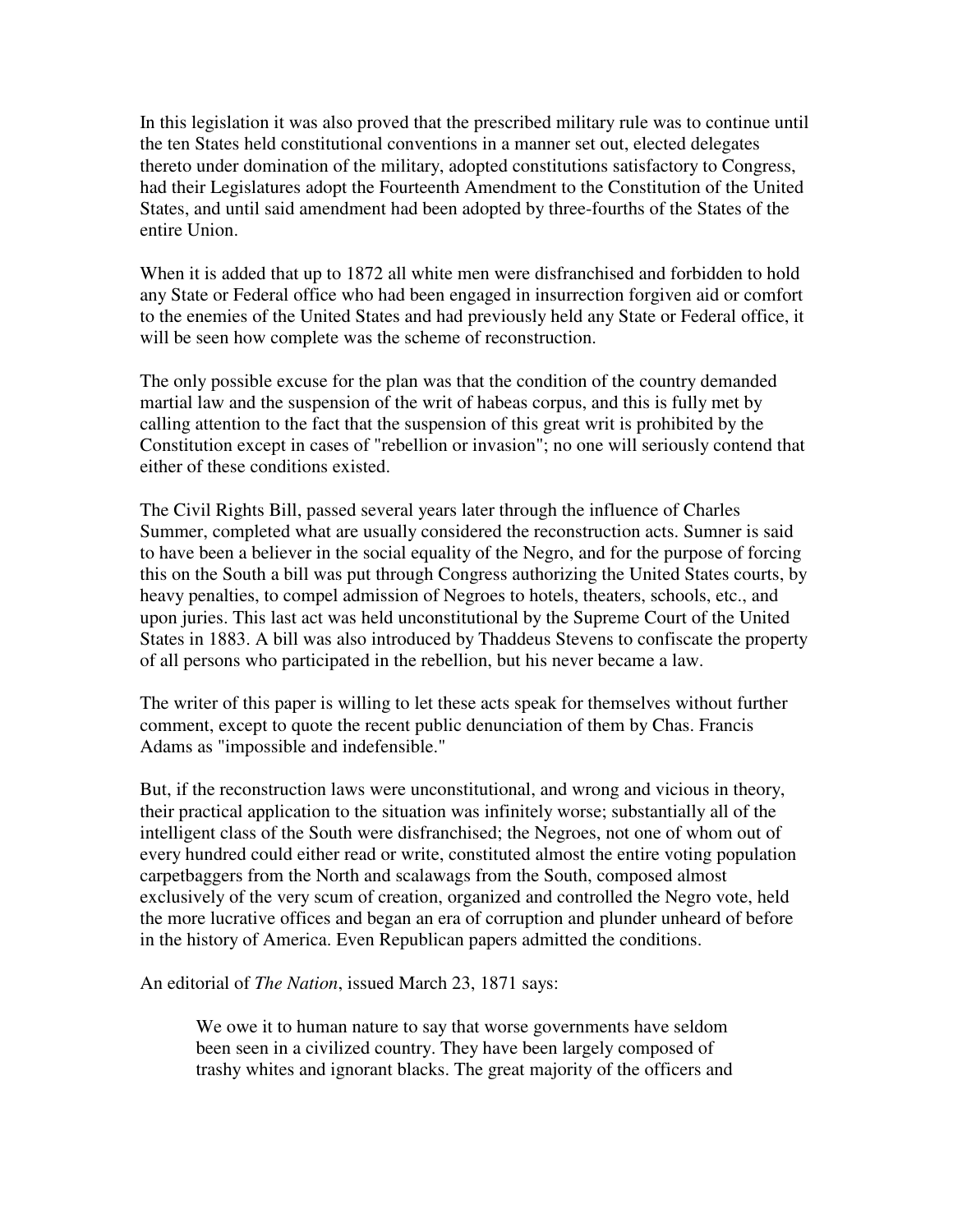In this legislation it was also proved that the prescribed military rule was to continue until the ten States held constitutional conventions in a manner set out, elected delegates thereto under domination of the military, adopted constitutions satisfactory to Congress, had their Legislatures adopt the Fourteenth Amendment to the Constitution of the United States, and until said amendment had been adopted by three-fourths of the States of the entire Union.

When it is added that up to 1872 all white men were disfranchised and forbidden to hold any State or Federal office who had been engaged in insurrection forgiven aid or comfort to the enemies of the United States and had previously held any State or Federal office, it will be seen how complete was the scheme of reconstruction.

The only possible excuse for the plan was that the condition of the country demanded martial law and the suspension of the writ of habeas corpus, and this is fully met by calling attention to the fact that the suspension of this great writ is prohibited by the Constitution except in cases of "rebellion or invasion"; no one will seriously contend that either of these conditions existed.

The Civil Rights Bill, passed several years later through the influence of Charles Summer, completed what are usually considered the reconstruction acts. Sumner is said to have been a believer in the social equality of the Negro, and for the purpose of forcing this on the South a bill was put through Congress authorizing the United States courts, by heavy penalties, to compel admission of Negroes to hotels, theaters, schools, etc., and upon juries. This last act was held unconstitutional by the Supreme Court of the United States in 1883. A bill was also introduced by Thaddeus Stevens to confiscate the property of all persons who participated in the rebellion, but his never became a law.

The writer of this paper is willing to let these acts speak for themselves without further comment, except to quote the recent public denunciation of them by Chas. Francis Adams as "impossible and indefensible."

But, if the reconstruction laws were unconstitutional, and wrong and vicious in theory, their practical application to the situation was infinitely worse; substantially all of the intelligent class of the South were disfranchised; the Negroes, not one of whom out of every hundred could either read or write, constituted almost the entire voting population carpetbaggers from the North and scalawags from the South, composed almost exclusively of the very scum of creation, organized and controlled the Negro vote, held the more lucrative offices and began an era of corruption and plunder unheard of before in the history of America. Even Republican papers admitted the conditions.

An editorial of *The Nation*, issued March 23, 1871 says:

We owe it to human nature to say that worse governments have seldom been seen in a civilized country. They have been largely composed of trashy whites and ignorant blacks. The great majority of the officers and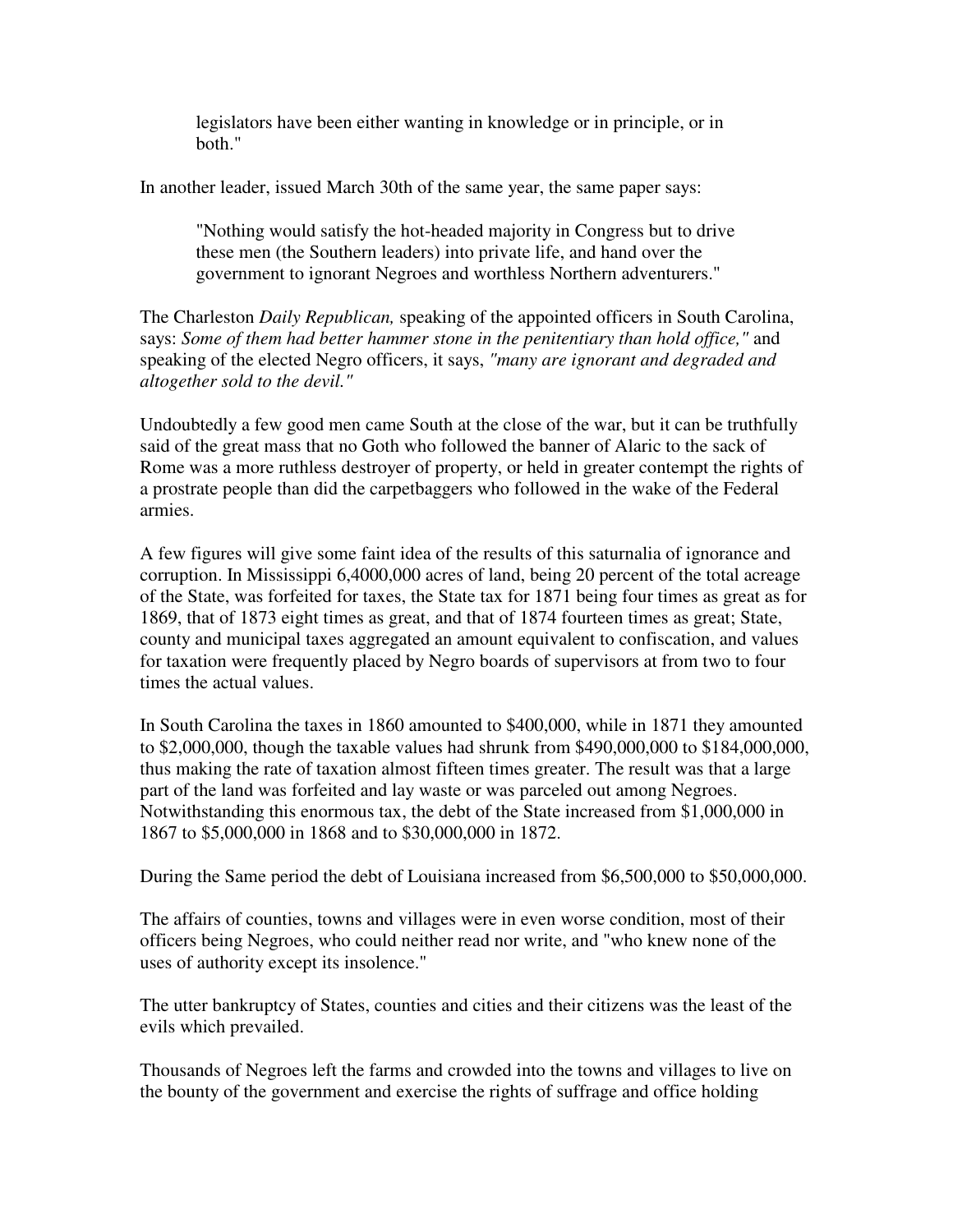legislators have been either wanting in knowledge or in principle, or in both."

In another leader, issued March 30th of the same year, the same paper says:

"Nothing would satisfy the hot-headed majority in Congress but to drive these men (the Southern leaders) into private life, and hand over the government to ignorant Negroes and worthless Northern adventurers."

The Charleston *Daily Republican,* speaking of the appointed officers in South Carolina, says: *Some of them had better hammer stone in the penitentiary than hold office,"* and speaking of the elected Negro officers, it says, *"many are ignorant and degraded and altogether sold to the devil."*

Undoubtedly a few good men came South at the close of the war, but it can be truthfully said of the great mass that no Goth who followed the banner of Alaric to the sack of Rome was a more ruthless destroyer of property, or held in greater contempt the rights of a prostrate people than did the carpetbaggers who followed in the wake of the Federal armies.

A few figures will give some faint idea of the results of this saturnalia of ignorance and corruption. In Mississippi 6,4000,000 acres of land, being 20 percent of the total acreage of the State, was forfeited for taxes, the State tax for 1871 being four times as great as for 1869, that of 1873 eight times as great, and that of 1874 fourteen times as great; State, county and municipal taxes aggregated an amount equivalent to confiscation, and values for taxation were frequently placed by Negro boards of supervisors at from two to four times the actual values.

In South Carolina the taxes in 1860 amounted to \$400,000, while in 1871 they amounted to \$2,000,000, though the taxable values had shrunk from \$490,000,000 to \$184,000,000, thus making the rate of taxation almost fifteen times greater. The result was that a large part of the land was forfeited and lay waste or was parceled out among Negroes. Notwithstanding this enormous tax, the debt of the State increased from \$1,000,000 in 1867 to \$5,000,000 in 1868 and to \$30,000,000 in 1872.

During the Same period the debt of Louisiana increased from \$6,500,000 to \$50,000,000.

The affairs of counties, towns and villages were in even worse condition, most of their officers being Negroes, who could neither read nor write, and "who knew none of the uses of authority except its insolence."

The utter bankruptcy of States, counties and cities and their citizens was the least of the evils which prevailed.

Thousands of Negroes left the farms and crowded into the towns and villages to live on the bounty of the government and exercise the rights of suffrage and office holding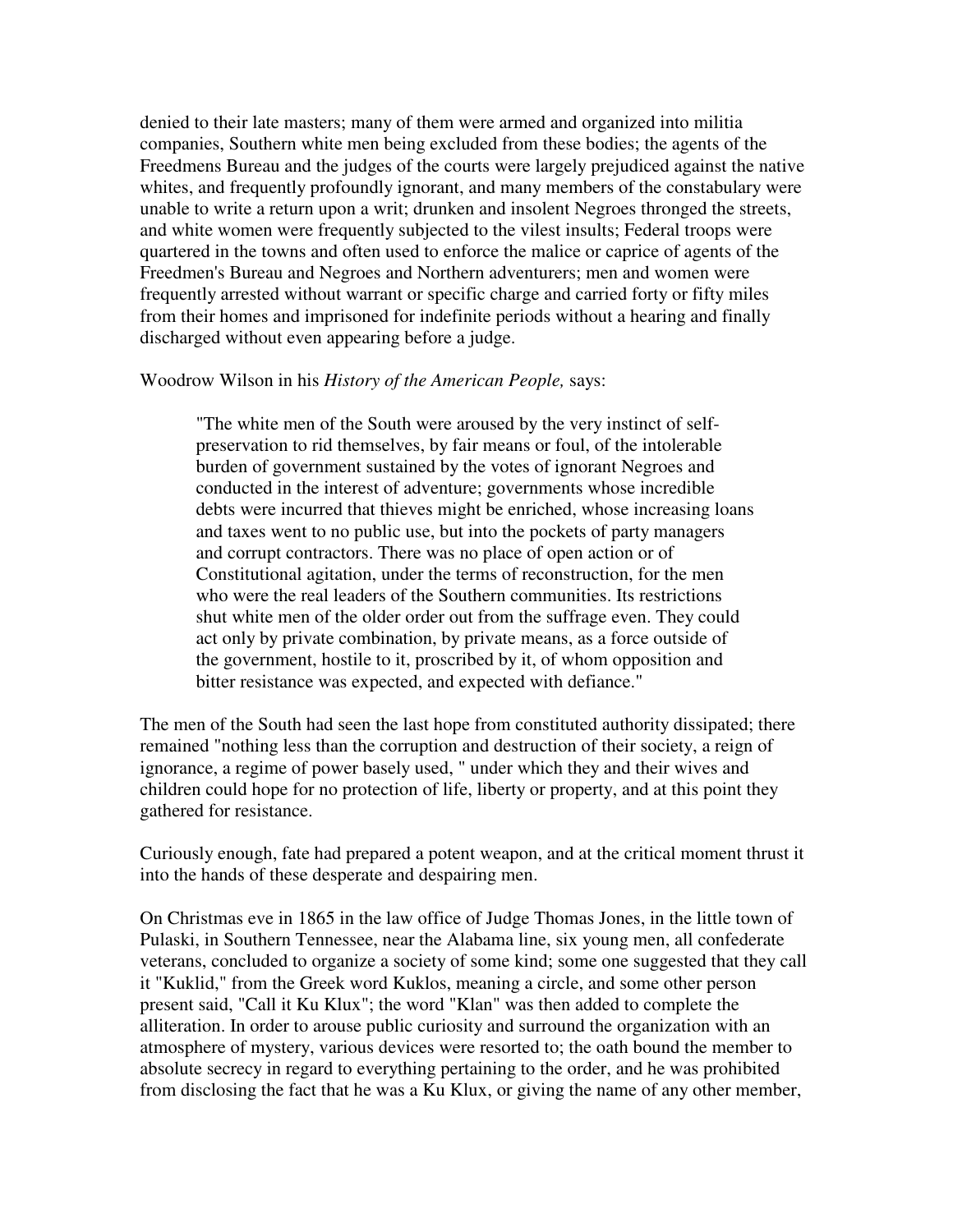denied to their late masters; many of them were armed and organized into militia companies, Southern white men being excluded from these bodies; the agents of the Freedmens Bureau and the judges of the courts were largely prejudiced against the native whites, and frequently profoundly ignorant, and many members of the constabulary were unable to write a return upon a writ; drunken and insolent Negroes thronged the streets, and white women were frequently subjected to the vilest insults; Federal troops were quartered in the towns and often used to enforce the malice or caprice of agents of the Freedmen's Bureau and Negroes and Northern adventurers; men and women were frequently arrested without warrant or specific charge and carried forty or fifty miles from their homes and imprisoned for indefinite periods without a hearing and finally discharged without even appearing before a judge.

#### Woodrow Wilson in his *History of the American People,* says:

"The white men of the South were aroused by the very instinct of selfpreservation to rid themselves, by fair means or foul, of the intolerable burden of government sustained by the votes of ignorant Negroes and conducted in the interest of adventure; governments whose incredible debts were incurred that thieves might be enriched, whose increasing loans and taxes went to no public use, but into the pockets of party managers and corrupt contractors. There was no place of open action or of Constitutional agitation, under the terms of reconstruction, for the men who were the real leaders of the Southern communities. Its restrictions shut white men of the older order out from the suffrage even. They could act only by private combination, by private means, as a force outside of the government, hostile to it, proscribed by it, of whom opposition and bitter resistance was expected, and expected with defiance."

The men of the South had seen the last hope from constituted authority dissipated; there remained "nothing less than the corruption and destruction of their society, a reign of ignorance, a regime of power basely used, " under which they and their wives and children could hope for no protection of life, liberty or property, and at this point they gathered for resistance.

Curiously enough, fate had prepared a potent weapon, and at the critical moment thrust it into the hands of these desperate and despairing men.

On Christmas eve in 1865 in the law office of Judge Thomas Jones, in the little town of Pulaski, in Southern Tennessee, near the Alabama line, six young men, all confederate veterans, concluded to organize a society of some kind; some one suggested that they call it "Kuklid," from the Greek word Kuklos, meaning a circle, and some other person present said, "Call it Ku Klux"; the word "Klan" was then added to complete the alliteration. In order to arouse public curiosity and surround the organization with an atmosphere of mystery, various devices were resorted to; the oath bound the member to absolute secrecy in regard to everything pertaining to the order, and he was prohibited from disclosing the fact that he was a Ku Klux, or giving the name of any other member,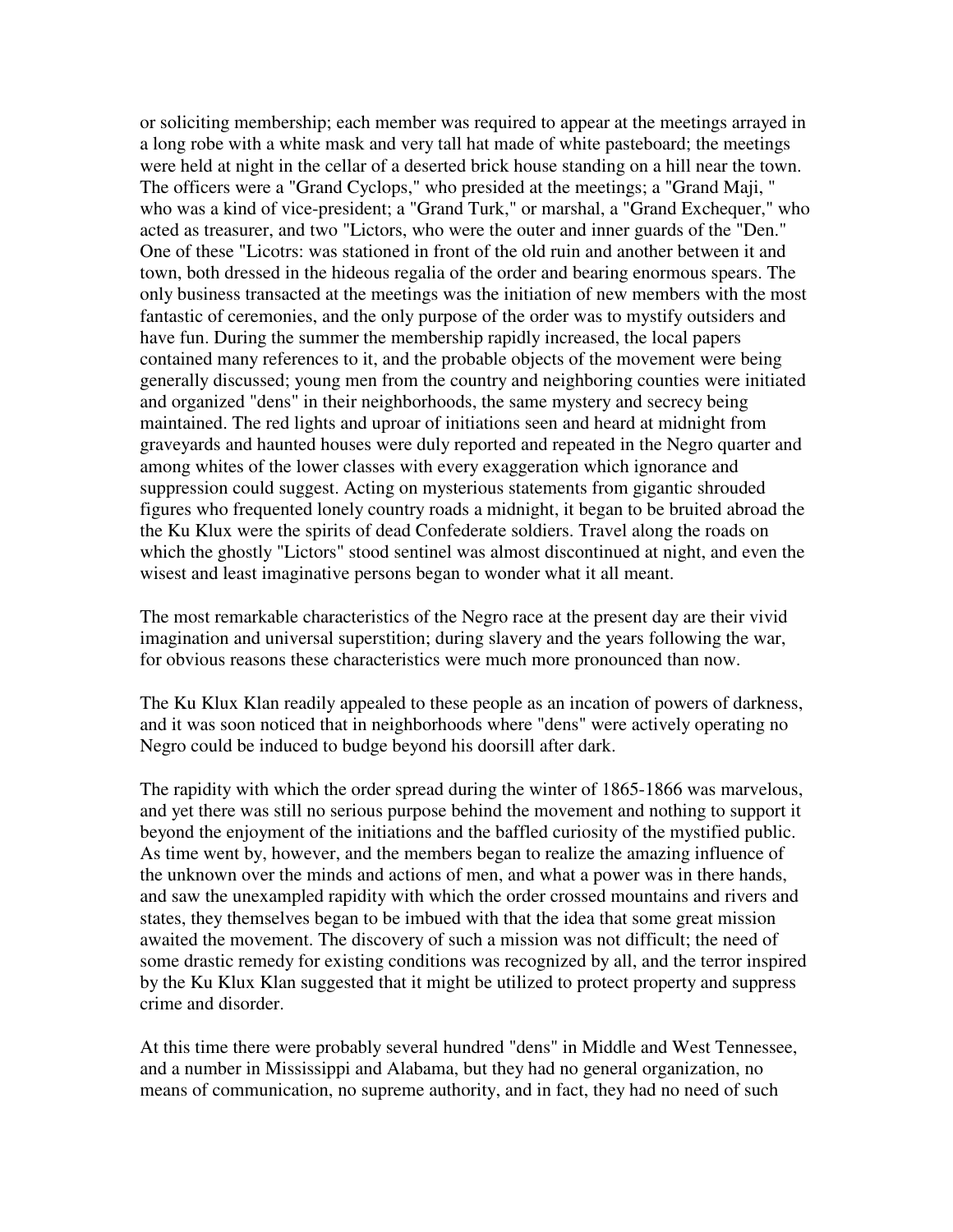or soliciting membership; each member was required to appear at the meetings arrayed in a long robe with a white mask and very tall hat made of white pasteboard; the meetings were held at night in the cellar of a deserted brick house standing on a hill near the town. The officers were a "Grand Cyclops," who presided at the meetings; a "Grand Maji, " who was a kind of vice-president; a "Grand Turk," or marshal, a "Grand Exchequer," who acted as treasurer, and two "Lictors, who were the outer and inner guards of the "Den." One of these "Licotrs: was stationed in front of the old ruin and another between it and town, both dressed in the hideous regalia of the order and bearing enormous spears. The only business transacted at the meetings was the initiation of new members with the most fantastic of ceremonies, and the only purpose of the order was to mystify outsiders and have fun. During the summer the membership rapidly increased, the local papers contained many references to it, and the probable objects of the movement were being generally discussed; young men from the country and neighboring counties were initiated and organized "dens" in their neighborhoods, the same mystery and secrecy being maintained. The red lights and uproar of initiations seen and heard at midnight from graveyards and haunted houses were duly reported and repeated in the Negro quarter and among whites of the lower classes with every exaggeration which ignorance and suppression could suggest. Acting on mysterious statements from gigantic shrouded figures who frequented lonely country roads a midnight, it began to be bruited abroad the the Ku Klux were the spirits of dead Confederate soldiers. Travel along the roads on which the ghostly "Lictors" stood sentinel was almost discontinued at night, and even the wisest and least imaginative persons began to wonder what it all meant.

The most remarkable characteristics of the Negro race at the present day are their vivid imagination and universal superstition; during slavery and the years following the war, for obvious reasons these characteristics were much more pronounced than now.

The Ku Klux Klan readily appealed to these people as an incation of powers of darkness, and it was soon noticed that in neighborhoods where "dens" were actively operating no Negro could be induced to budge beyond his doorsill after dark.

The rapidity with which the order spread during the winter of 1865-1866 was marvelous, and yet there was still no serious purpose behind the movement and nothing to support it beyond the enjoyment of the initiations and the baffled curiosity of the mystified public. As time went by, however, and the members began to realize the amazing influence of the unknown over the minds and actions of men, and what a power was in there hands, and saw the unexampled rapidity with which the order crossed mountains and rivers and states, they themselves began to be imbued with that the idea that some great mission awaited the movement. The discovery of such a mission was not difficult; the need of some drastic remedy for existing conditions was recognized by all, and the terror inspired by the Ku Klux Klan suggested that it might be utilized to protect property and suppress crime and disorder.

At this time there were probably several hundred "dens" in Middle and West Tennessee, and a number in Mississippi and Alabama, but they had no general organization, no means of communication, no supreme authority, and in fact, they had no need of such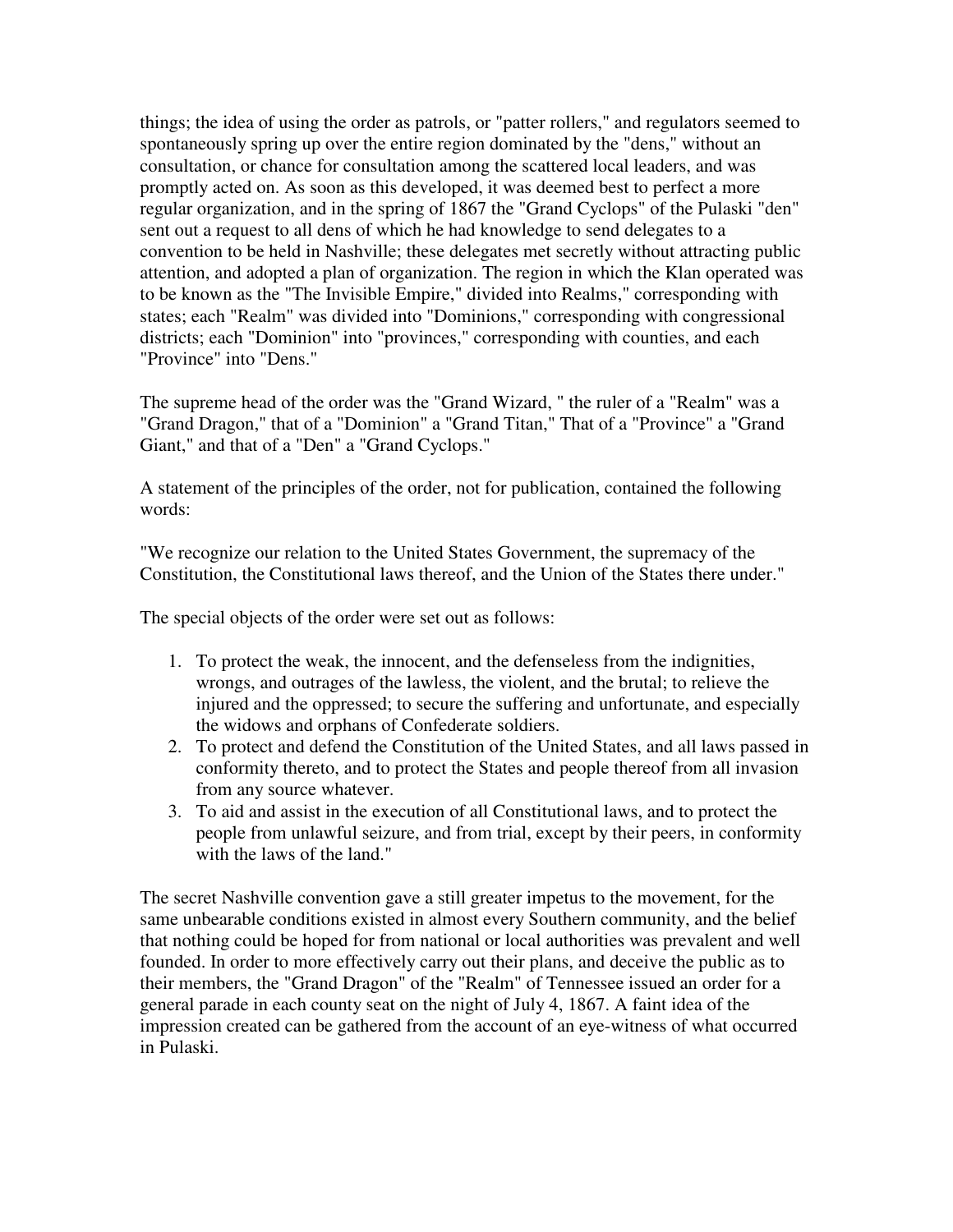things; the idea of using the order as patrols, or "patter rollers," and regulators seemed to spontaneously spring up over the entire region dominated by the "dens," without an consultation, or chance for consultation among the scattered local leaders, and was promptly acted on. As soon as this developed, it was deemed best to perfect a more regular organization, and in the spring of 1867 the "Grand Cyclops" of the Pulaski "den" sent out a request to all dens of which he had knowledge to send delegates to a convention to be held in Nashville; these delegates met secretly without attracting public attention, and adopted a plan of organization. The region in which the Klan operated was to be known as the "The Invisible Empire," divided into Realms," corresponding with states; each "Realm" was divided into "Dominions," corresponding with congressional districts; each "Dominion" into "provinces," corresponding with counties, and each "Province" into "Dens."

The supreme head of the order was the "Grand Wizard, " the ruler of a "Realm" was a "Grand Dragon," that of a "Dominion" a "Grand Titan," That of a "Province" a "Grand Giant," and that of a "Den" a "Grand Cyclops."

A statement of the principles of the order, not for publication, contained the following words:

"We recognize our relation to the United States Government, the supremacy of the Constitution, the Constitutional laws thereof, and the Union of the States there under."

The special objects of the order were set out as follows:

- 1. To protect the weak, the innocent, and the defenseless from the indignities, wrongs, and outrages of the lawless, the violent, and the brutal; to relieve the injured and the oppressed; to secure the suffering and unfortunate, and especially the widows and orphans of Confederate soldiers.
- 2. To protect and defend the Constitution of the United States, and all laws passed in conformity thereto, and to protect the States and people thereof from all invasion from any source whatever.
- 3. To aid and assist in the execution of all Constitutional laws, and to protect the people from unlawful seizure, and from trial, except by their peers, in conformity with the laws of the land."

The secret Nashville convention gave a still greater impetus to the movement, for the same unbearable conditions existed in almost every Southern community, and the belief that nothing could be hoped for from national or local authorities was prevalent and well founded. In order to more effectively carry out their plans, and deceive the public as to their members, the "Grand Dragon" of the "Realm" of Tennessee issued an order for a general parade in each county seat on the night of July 4, 1867. A faint idea of the impression created can be gathered from the account of an eye-witness of what occurred in Pulaski.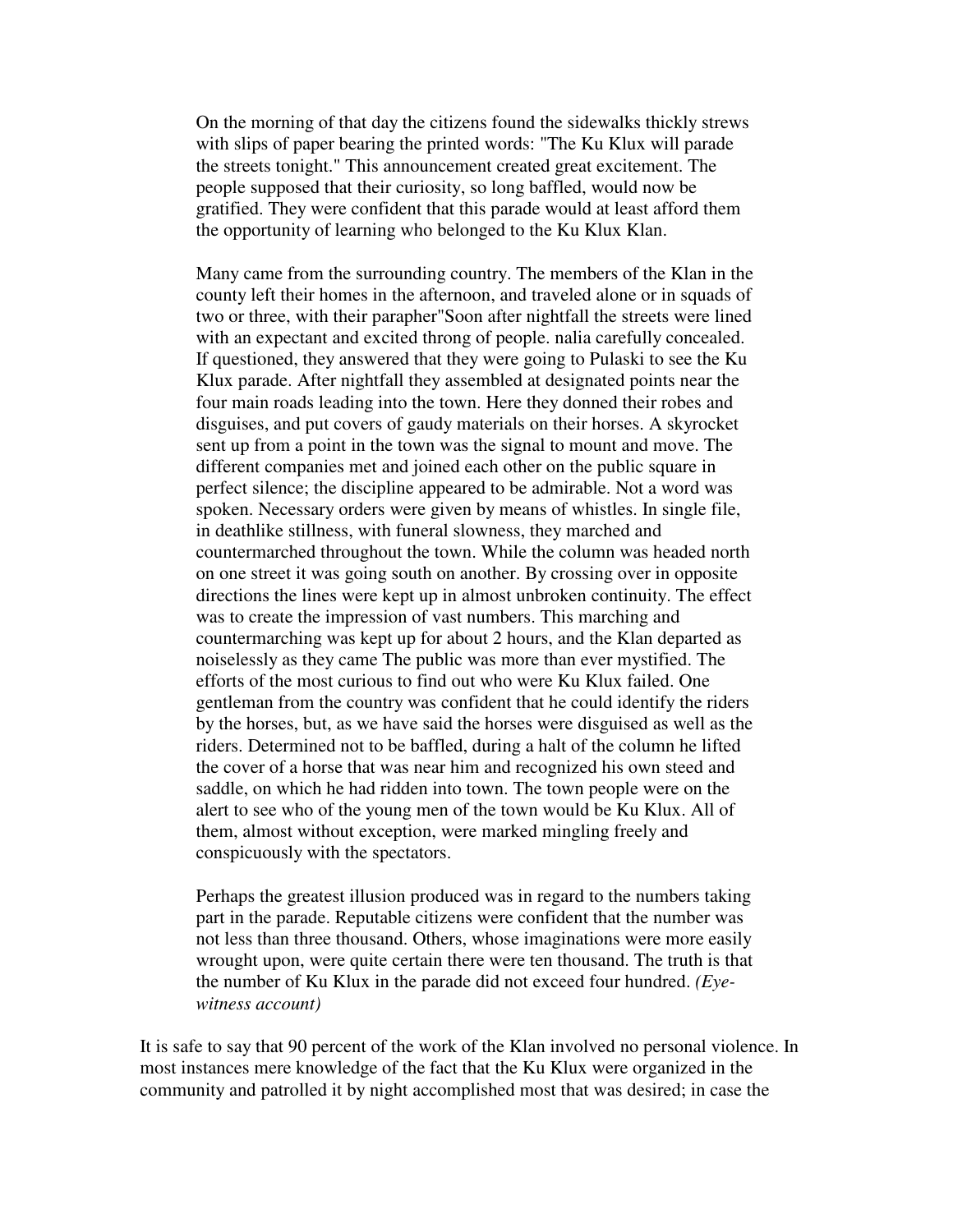On the morning of that day the citizens found the sidewalks thickly strews with slips of paper bearing the printed words: "The Ku Klux will parade the streets tonight." This announcement created great excitement. The people supposed that their curiosity, so long baffled, would now be gratified. They were confident that this parade would at least afford them the opportunity of learning who belonged to the Ku Klux Klan.

Many came from the surrounding country. The members of the Klan in the county left their homes in the afternoon, and traveled alone or in squads of two or three, with their parapher"Soon after nightfall the streets were lined with an expectant and excited throng of people. nalia carefully concealed. If questioned, they answered that they were going to Pulaski to see the Ku Klux parade. After nightfall they assembled at designated points near the four main roads leading into the town. Here they donned their robes and disguises, and put covers of gaudy materials on their horses. A skyrocket sent up from a point in the town was the signal to mount and move. The different companies met and joined each other on the public square in perfect silence; the discipline appeared to be admirable. Not a word was spoken. Necessary orders were given by means of whistles. In single file, in deathlike stillness, with funeral slowness, they marched and countermarched throughout the town. While the column was headed north on one street it was going south on another. By crossing over in opposite directions the lines were kept up in almost unbroken continuity. The effect was to create the impression of vast numbers. This marching and countermarching was kept up for about 2 hours, and the Klan departed as noiselessly as they came The public was more than ever mystified. The efforts of the most curious to find out who were Ku Klux failed. One gentleman from the country was confident that he could identify the riders by the horses, but, as we have said the horses were disguised as well as the riders. Determined not to be baffled, during a halt of the column he lifted the cover of a horse that was near him and recognized his own steed and saddle, on which he had ridden into town. The town people were on the alert to see who of the young men of the town would be Ku Klux. All of them, almost without exception, were marked mingling freely and conspicuously with the spectators.

Perhaps the greatest illusion produced was in regard to the numbers taking part in the parade. Reputable citizens were confident that the number was not less than three thousand. Others, whose imaginations were more easily wrought upon, were quite certain there were ten thousand. The truth is that the number of Ku Klux in the parade did not exceed four hundred. *(Eyewitness account)*

It is safe to say that 90 percent of the work of the Klan involved no personal violence. In most instances mere knowledge of the fact that the Ku Klux were organized in the community and patrolled it by night accomplished most that was desired; in case the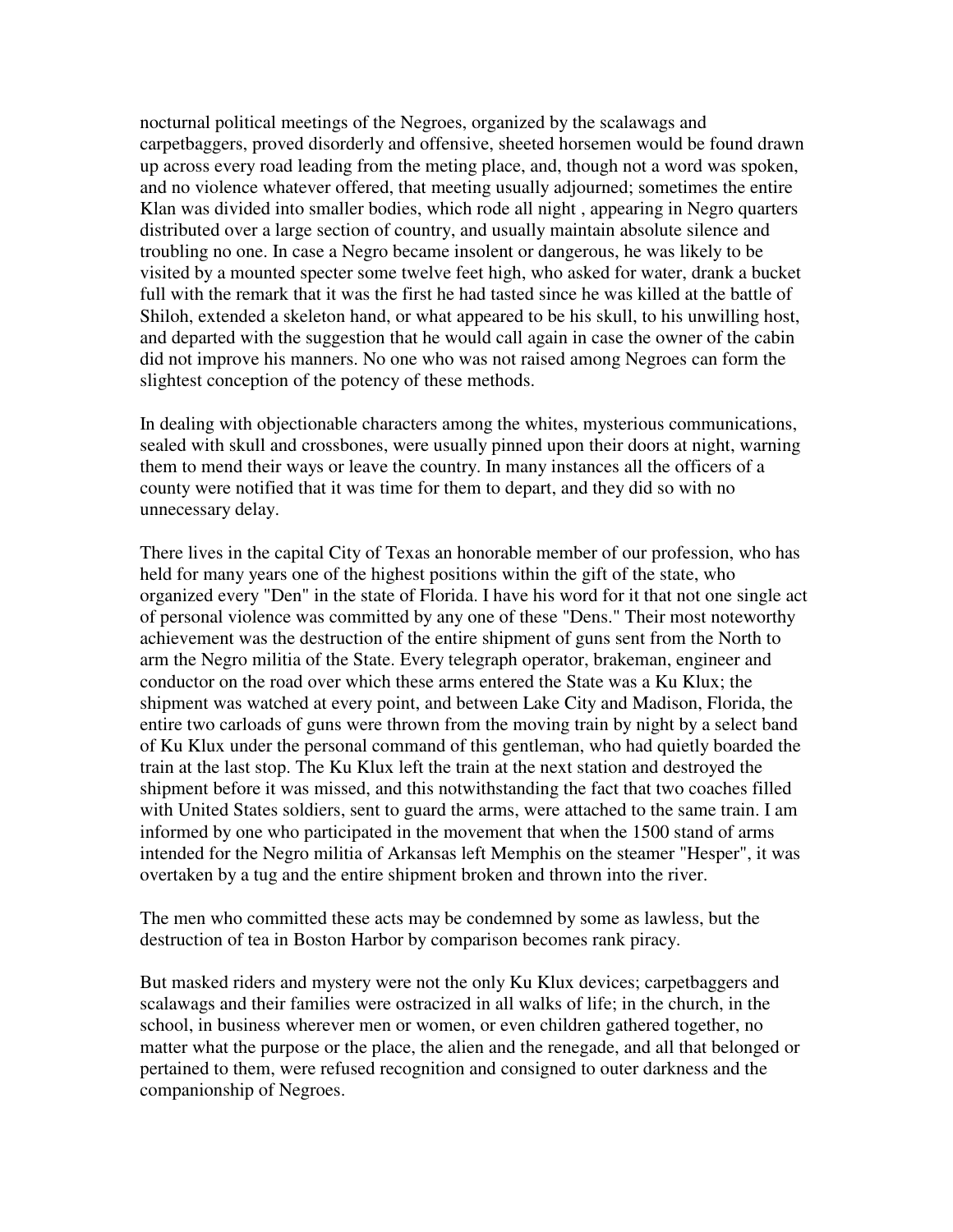nocturnal political meetings of the Negroes, organized by the scalawags and carpetbaggers, proved disorderly and offensive, sheeted horsemen would be found drawn up across every road leading from the meting place, and, though not a word was spoken, and no violence whatever offered, that meeting usually adjourned; sometimes the entire Klan was divided into smaller bodies, which rode all night , appearing in Negro quarters distributed over a large section of country, and usually maintain absolute silence and troubling no one. In case a Negro became insolent or dangerous, he was likely to be visited by a mounted specter some twelve feet high, who asked for water, drank a bucket full with the remark that it was the first he had tasted since he was killed at the battle of Shiloh, extended a skeleton hand, or what appeared to be his skull, to his unwilling host, and departed with the suggestion that he would call again in case the owner of the cabin did not improve his manners. No one who was not raised among Negroes can form the slightest conception of the potency of these methods.

In dealing with objectionable characters among the whites, mysterious communications, sealed with skull and crossbones, were usually pinned upon their doors at night, warning them to mend their ways or leave the country. In many instances all the officers of a county were notified that it was time for them to depart, and they did so with no unnecessary delay.

There lives in the capital City of Texas an honorable member of our profession, who has held for many years one of the highest positions within the gift of the state, who organized every "Den" in the state of Florida. I have his word for it that not one single act of personal violence was committed by any one of these "Dens." Their most noteworthy achievement was the destruction of the entire shipment of guns sent from the North to arm the Negro militia of the State. Every telegraph operator, brakeman, engineer and conductor on the road over which these arms entered the State was a Ku Klux; the shipment was watched at every point, and between Lake City and Madison, Florida, the entire two carloads of guns were thrown from the moving train by night by a select band of Ku Klux under the personal command of this gentleman, who had quietly boarded the train at the last stop. The Ku Klux left the train at the next station and destroyed the shipment before it was missed, and this notwithstanding the fact that two coaches filled with United States soldiers, sent to guard the arms, were attached to the same train. I am informed by one who participated in the movement that when the 1500 stand of arms intended for the Negro militia of Arkansas left Memphis on the steamer "Hesper", it was overtaken by a tug and the entire shipment broken and thrown into the river.

The men who committed these acts may be condemned by some as lawless, but the destruction of tea in Boston Harbor by comparison becomes rank piracy.

But masked riders and mystery were not the only Ku Klux devices; carpetbaggers and scalawags and their families were ostracized in all walks of life; in the church, in the school, in business wherever men or women, or even children gathered together, no matter what the purpose or the place, the alien and the renegade, and all that belonged or pertained to them, were refused recognition and consigned to outer darkness and the companionship of Negroes.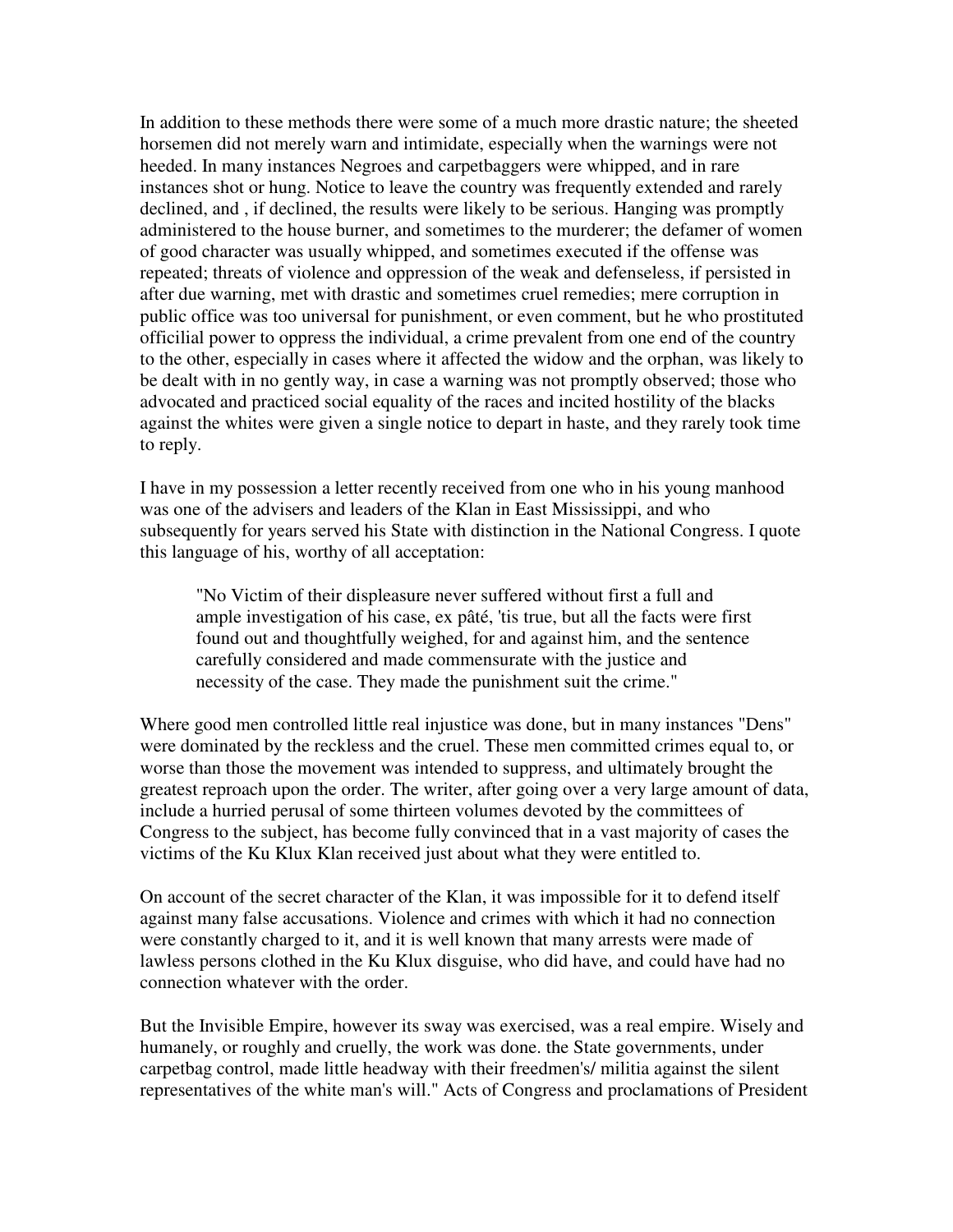In addition to these methods there were some of a much more drastic nature; the sheeted horsemen did not merely warn and intimidate, especially when the warnings were not heeded. In many instances Negroes and carpetbaggers were whipped, and in rare instances shot or hung. Notice to leave the country was frequently extended and rarely declined, and , if declined, the results were likely to be serious. Hanging was promptly administered to the house burner, and sometimes to the murderer; the defamer of women of good character was usually whipped, and sometimes executed if the offense was repeated; threats of violence and oppression of the weak and defenseless, if persisted in after due warning, met with drastic and sometimes cruel remedies; mere corruption in public office was too universal for punishment, or even comment, but he who prostituted officilial power to oppress the individual, a crime prevalent from one end of the country to the other, especially in cases where it affected the widow and the orphan, was likely to be dealt with in no gently way, in case a warning was not promptly observed; those who advocated and practiced social equality of the races and incited hostility of the blacks against the whites were given a single notice to depart in haste, and they rarely took time to reply.

I have in my possession a letter recently received from one who in his young manhood was one of the advisers and leaders of the Klan in East Mississippi, and who subsequently for years served his State with distinction in the National Congress. I quote this language of his, worthy of all acceptation:

"No Victim of their displeasure never suffered without first a full and ample investigation of his case, ex pâté, 'tis true, but all the facts were first found out and thoughtfully weighed, for and against him, and the sentence carefully considered and made commensurate with the justice and necessity of the case. They made the punishment suit the crime."

Where good men controlled little real injustice was done, but in many instances "Dens" were dominated by the reckless and the cruel. These men committed crimes equal to, or worse than those the movement was intended to suppress, and ultimately brought the greatest reproach upon the order. The writer, after going over a very large amount of data, include a hurried perusal of some thirteen volumes devoted by the committees of Congress to the subject, has become fully convinced that in a vast majority of cases the victims of the Ku Klux Klan received just about what they were entitled to.

On account of the secret character of the Klan, it was impossible for it to defend itself against many false accusations. Violence and crimes with which it had no connection were constantly charged to it, and it is well known that many arrests were made of lawless persons clothed in the Ku Klux disguise, who did have, and could have had no connection whatever with the order.

But the Invisible Empire, however its sway was exercised, was a real empire. Wisely and humanely, or roughly and cruelly, the work was done. the State governments, under carpetbag control, made little headway with their freedmen's/ militia against the silent representatives of the white man's will." Acts of Congress and proclamations of President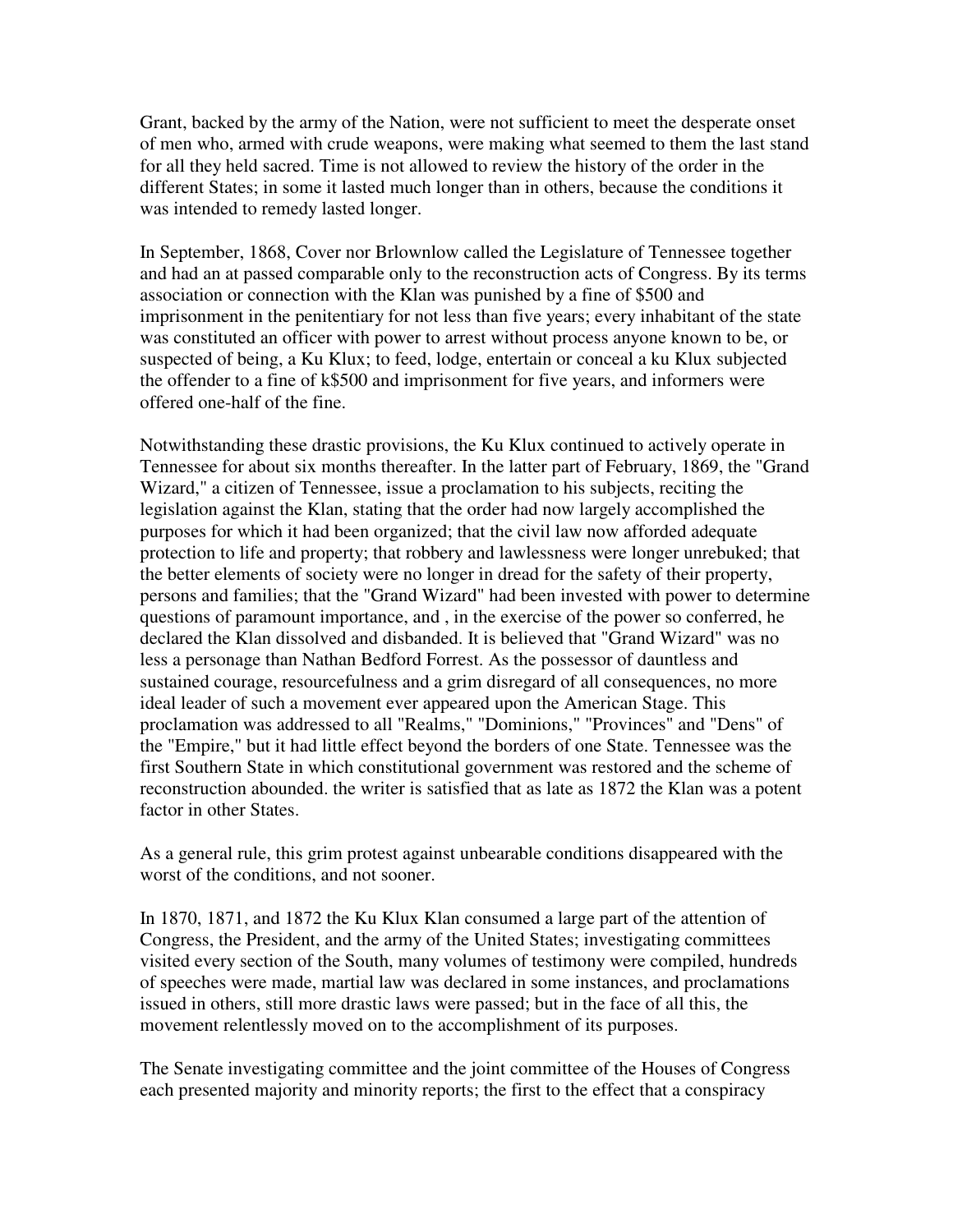Grant, backed by the army of the Nation, were not sufficient to meet the desperate onset of men who, armed with crude weapons, were making what seemed to them the last stand for all they held sacred. Time is not allowed to review the history of the order in the different States; in some it lasted much longer than in others, because the conditions it was intended to remedy lasted longer.

In September, 1868, Cover nor Brlownlow called the Legislature of Tennessee together and had an at passed comparable only to the reconstruction acts of Congress. By its terms association or connection with the Klan was punished by a fine of \$500 and imprisonment in the penitentiary for not less than five years; every inhabitant of the state was constituted an officer with power to arrest without process anyone known to be, or suspected of being, a Ku Klux; to feed, lodge, entertain or conceal a ku Klux subjected the offender to a fine of k\$500 and imprisonment for five years, and informers were offered one-half of the fine.

Notwithstanding these drastic provisions, the Ku Klux continued to actively operate in Tennessee for about six months thereafter. In the latter part of February, 1869, the "Grand Wizard," a citizen of Tennessee, issue a proclamation to his subjects, reciting the legislation against the Klan, stating that the order had now largely accomplished the purposes for which it had been organized; that the civil law now afforded adequate protection to life and property; that robbery and lawlessness were longer unrebuked; that the better elements of society were no longer in dread for the safety of their property, persons and families; that the "Grand Wizard" had been invested with power to determine questions of paramount importance, and , in the exercise of the power so conferred, he declared the Klan dissolved and disbanded. It is believed that "Grand Wizard" was no less a personage than Nathan Bedford Forrest. As the possessor of dauntless and sustained courage, resourcefulness and a grim disregard of all consequences, no more ideal leader of such a movement ever appeared upon the American Stage. This proclamation was addressed to all "Realms," "Dominions," "Provinces" and "Dens" of the "Empire," but it had little effect beyond the borders of one State. Tennessee was the first Southern State in which constitutional government was restored and the scheme of reconstruction abounded. the writer is satisfied that as late as 1872 the Klan was a potent factor in other States.

As a general rule, this grim protest against unbearable conditions disappeared with the worst of the conditions, and not sooner.

In 1870, 1871, and 1872 the Ku Klux Klan consumed a large part of the attention of Congress, the President, and the army of the United States; investigating committees visited every section of the South, many volumes of testimony were compiled, hundreds of speeches were made, martial law was declared in some instances, and proclamations issued in others, still more drastic laws were passed; but in the face of all this, the movement relentlessly moved on to the accomplishment of its purposes.

The Senate investigating committee and the joint committee of the Houses of Congress each presented majority and minority reports; the first to the effect that a conspiracy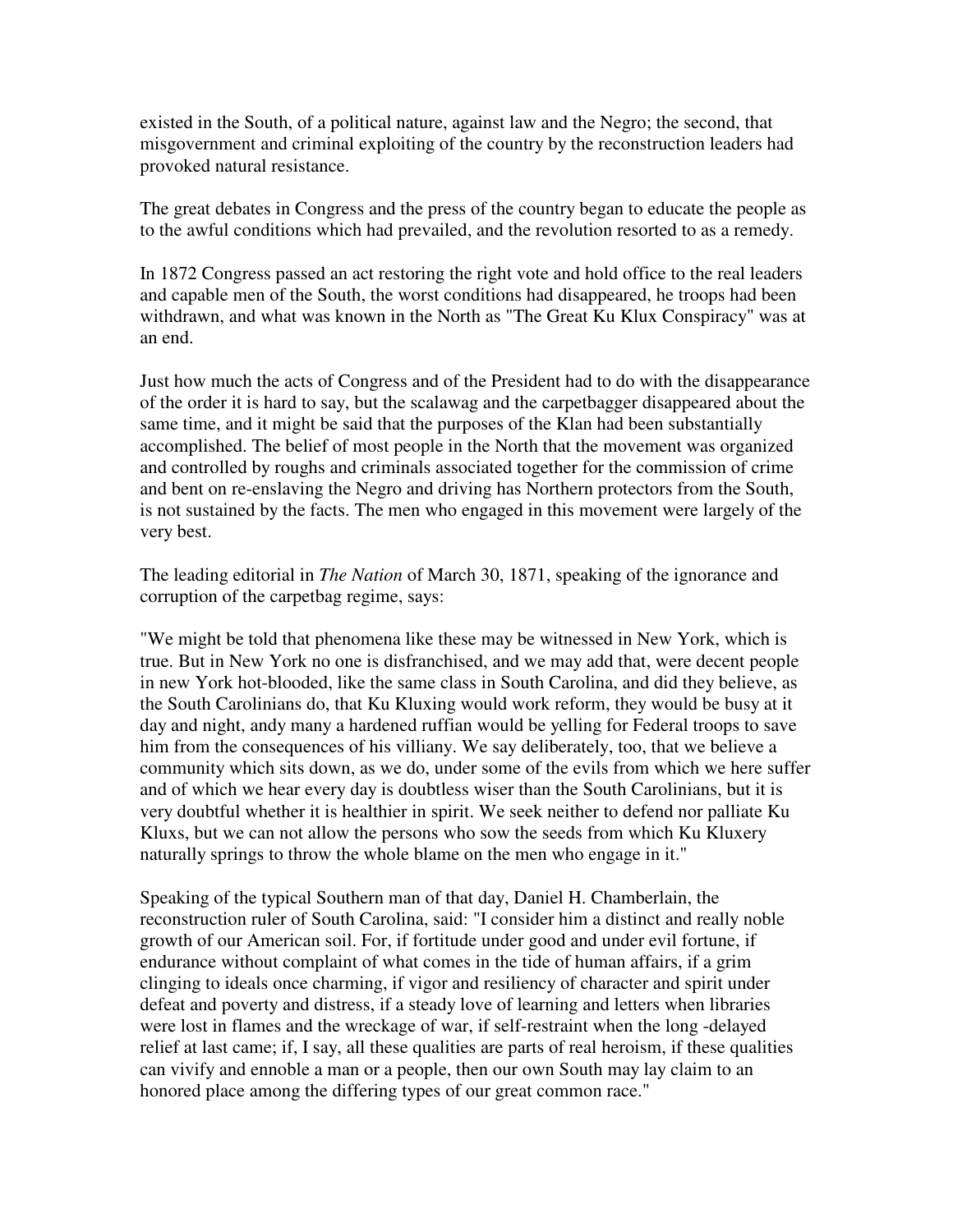existed in the South, of a political nature, against law and the Negro; the second, that misgovernment and criminal exploiting of the country by the reconstruction leaders had provoked natural resistance.

The great debates in Congress and the press of the country began to educate the people as to the awful conditions which had prevailed, and the revolution resorted to as a remedy.

In 1872 Congress passed an act restoring the right vote and hold office to the real leaders and capable men of the South, the worst conditions had disappeared, he troops had been withdrawn, and what was known in the North as "The Great Ku Klux Conspiracy" was at an end.

Just how much the acts of Congress and of the President had to do with the disappearance of the order it is hard to say, but the scalawag and the carpetbagger disappeared about the same time, and it might be said that the purposes of the Klan had been substantially accomplished. The belief of most people in the North that the movement was organized and controlled by roughs and criminals associated together for the commission of crime and bent on re-enslaving the Negro and driving has Northern protectors from the South, is not sustained by the facts. The men who engaged in this movement were largely of the very best.

The leading editorial in *The Nation* of March 30, 1871, speaking of the ignorance and corruption of the carpetbag regime, says:

"We might be told that phenomena like these may be witnessed in New York, which is true. But in New York no one is disfranchised, and we may add that, were decent people in new York hot-blooded, like the same class in South Carolina, and did they believe, as the South Carolinians do, that Ku Kluxing would work reform, they would be busy at it day and night, andy many a hardened ruffian would be yelling for Federal troops to save him from the consequences of his villiany. We say deliberately, too, that we believe a community which sits down, as we do, under some of the evils from which we here suffer and of which we hear every day is doubtless wiser than the South Carolinians, but it is very doubtful whether it is healthier in spirit. We seek neither to defend nor palliate Ku Kluxs, but we can not allow the persons who sow the seeds from which Ku Kluxery naturally springs to throw the whole blame on the men who engage in it."

Speaking of the typical Southern man of that day, Daniel H. Chamberlain, the reconstruction ruler of South Carolina, said: "I consider him a distinct and really noble growth of our American soil. For, if fortitude under good and under evil fortune, if endurance without complaint of what comes in the tide of human affairs, if a grim clinging to ideals once charming, if vigor and resiliency of character and spirit under defeat and poverty and distress, if a steady love of learning and letters when libraries were lost in flames and the wreckage of war, if self-restraint when the long -delayed relief at last came; if, I say, all these qualities are parts of real heroism, if these qualities can vivify and ennoble a man or a people, then our own South may lay claim to an honored place among the differing types of our great common race."